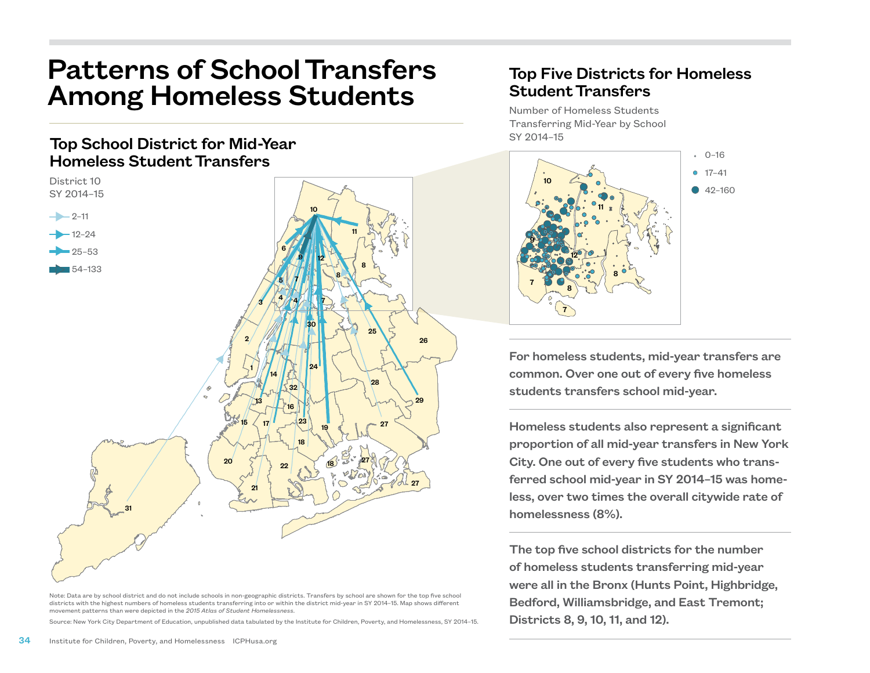## Patterns of School Transfers Among Homeless Students

## Top School District for Mid-Year Homeless Student Transfers



Note: Data are by school district and do not include schools in non-geographic districts. Transfers by school are shown for the top five school districts with the highest numbers of homeless students transferring into or within the district mid-year in SY 2014–15. Map shows different movement patterns than were depicted in the *2015 Atlas of Student Homelessness*.

Source: New York City Department of Education, unpublished data tabulated by the Institute for Children, Poverty, and Homelessness, SY 2014–15.

## Top Five Districts for Homeless Student Transfers

Number of Homeless Students Transferring Mid-Year by School SY 2014–15



For homeless students, mid-year transfers are common. Over one out of every five homeless students transfers school mid-year.

Homeless students also represent a significant proportion of all mid-year transfers in New York City. One out of every five students who transferred school mid-year in SY 2014–15 was homeless, over two times the overall citywide rate of homelessness (8%).

The top five school districts for the number of homeless students transferring mid-year were all in the Bronx (Hunts Point, Highbridge, Bedford, Williamsbridge, and East Tremont; Districts 8, 9, 10, 11, and 12).